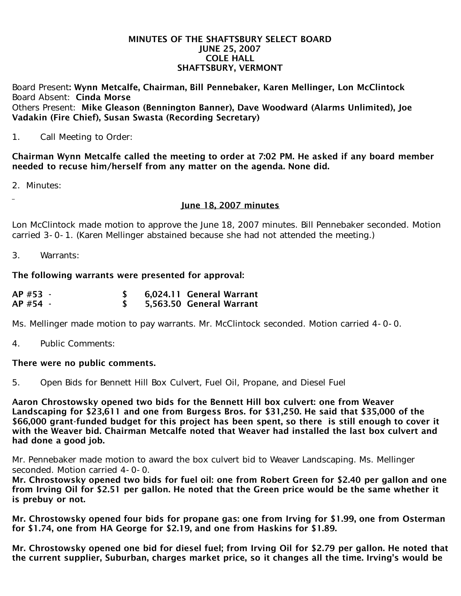## MINUTES OF THE SHAFTSBURY SELECT BOARD JUNE 25, 2007 COLE HALL SHAFTSBURY, VERMONT

Board Present: Wynn Metcalfe, Chairman, Bill Pennebaker, Karen Mellinger, Lon McClintock Board Absent: Cinda Morse Others Present: Mike Gleason (Bennington Banner), Dave Woodward (Alarms Unlimited), Joe Vadakin (Fire Chief), Susan Swasta (Recording Secretary)

1. Call Meeting to Order:

Chairman Wynn Metcalfe called the meeting to order at 7:02 PM. He asked if any board member needed to recuse him/herself from any matter on the agenda. None did.

2. Minutes:

June 18, 2007 minutes

Lon McClintock made motion to approve the June 18, 2007 minutes. Bill Pennebaker seconded. Motion carried 3-0-1. (Karen Mellinger abstained because she had not attended the meeting.)

3. Warrants:

The following warrants were presented for approval:

| AP #53 - | 6,024.11 General Warrant |
|----------|--------------------------|
| AP #54 - | 5,563.50 General Warrant |

Ms. Mellinger made motion to pay warrants. Mr. McClintock seconded. Motion carried 4-0-0.

4. Public Comments:

## There were no public comments.

5. Open Bids for Bennett Hill Box Culvert, Fuel Oil, Propane, and Diesel Fuel

Aaron Chrostowsky opened two bids for the Bennett Hill box culvert: one from Weaver Landscaping for \$23,611 and one from Burgess Bros. for \$31,250. He said that \$35,000 of the \$66,000 grant-funded budget for this project has been spent, so there is still enough to cover it with the Weaver bid. Chairman Metcalfe noted that Weaver had installed the last box culvert and had done a good job.

Mr. Pennebaker made motion to award the box culvert bid to Weaver Landscaping. Ms. Mellinger seconded. Motion carried 4-0-0.

Mr. Chrostowsky opened two bids for fuel oil: one from Robert Green for \$2.40 per gallon and one from Irving Oil for \$2.51 per gallon. He noted that the Green price would be the same whether it is prebuy or not.

Mr. Chrostowsky opened four bids for propane gas: one from Irving for \$1.99, one from Osterman for \$1.74, one from HA George for \$2.19, and one from Haskins for \$1.89.

Mr. Chrostowsky opened one bid for diesel fuel; from Irving Oil for \$2.79 per gallon. He noted that the current supplier, Suburban, charges market price, so it changes all the time. Irving's would be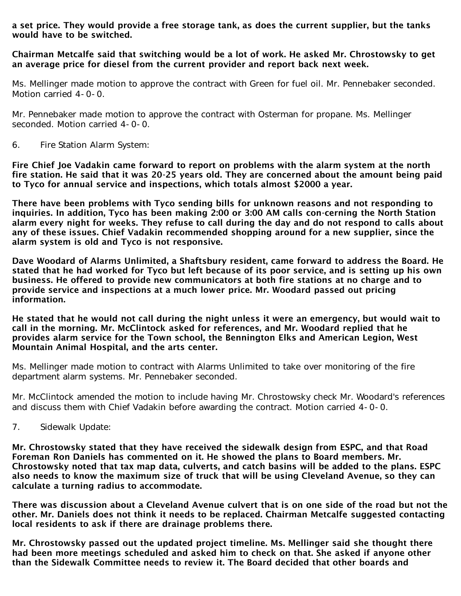a set price. They would provide a free storage tank, as does the current supplier, but the tanks would have to be switched.

## Chairman Metcalfe said that switching would be a lot of work. He asked Mr. Chrostowsky to get an average price for diesel from the current provider and report back next week.

Ms. Mellinger made motion to approve the contract with Green for fuel oil. Mr. Pennebaker seconded. Motion carried 4-0-0.

Mr. Pennebaker made motion to approve the contract with Osterman for propane. Ms. Mellinger seconded. Motion carried 4-0-0.

6. Fire Station Alarm System:

Fire Chief Joe Vadakin came forward to report on problems with the alarm system at the north fire station. He said that it was 20-25 years old. They are concerned about the amount being paid to Tyco for annual service and inspections, which totals almost \$2000 a year.

There have been problems with Tyco sending bills for unknown reasons and not responding to inquiries. In addition, Tyco has been making 2:00 or 3:00 AM calls con-cerning the North Station alarm every night for weeks. They refuse to call during the day and do not respond to calls about any of these issues. Chief Vadakin recommended shopping around for a new supplier, since the alarm system is old and Tyco is not responsive.

Dave Woodard of Alarms Unlimited, a Shaftsbury resident, came forward to address the Board. He stated that he had worked for Tyco but left because of its poor service, and is setting up his own business. He offered to provide new communicators at both fire stations at no charge and to provide service and inspections at a much lower price. Mr. Woodard passed out pricing information.

He stated that he would not call during the night unless it were an emergency, but would wait to call in the morning. Mr. McClintock asked for references, and Mr. Woodard replied that he provides alarm service for the Town school, the Bennington Elks and American Legion, West Mountain Animal Hospital, and the arts center.

Ms. Mellinger made motion to contract with Alarms Unlimited to take over monitoring of the fire department alarm systems. Mr. Pennebaker seconded.

Mr. McClintock amended the motion to include having Mr. Chrostowsky check Mr. Woodard's references and discuss them with Chief Vadakin before awarding the contract. Motion carried 4-0-0.

7. Sidewalk Update:

Mr. Chrostowsky stated that they have received the sidewalk design from ESPC, and that Road Foreman Ron Daniels has commented on it. He showed the plans to Board members. Mr. Chrostowsky noted that tax map data, culverts, and catch basins will be added to the plans. ESPC also needs to know the maximum size of truck that will be using Cleveland Avenue, so they can calculate a turning radius to accommodate.

There was discussion about a Cleveland Avenue culvert that is on one side of the road but not the other. Mr. Daniels does not think it needs to be replaced. Chairman Metcalfe suggested contacting local residents to ask if there are drainage problems there.

Mr. Chrostowsky passed out the updated project timeline. Ms. Mellinger said she thought there had been more meetings scheduled and asked him to check on that. She asked if anyone other than the Sidewalk Committee needs to review it. The Board decided that other boards and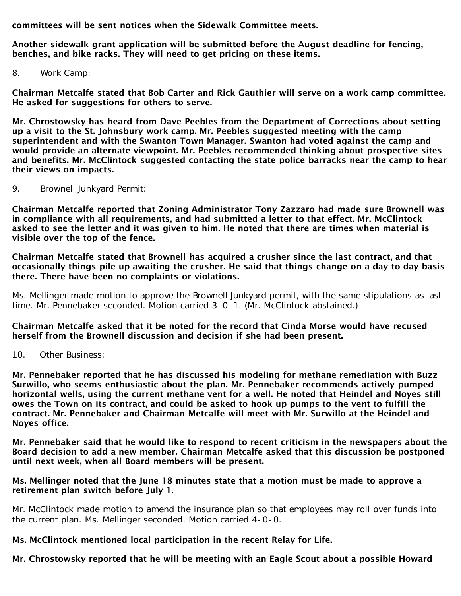committees will be sent notices when the Sidewalk Committee meets.

Another sidewalk grant application will be submitted before the August deadline for fencing, benches, and bike racks. They will need to get pricing on these items.

8. Work Camp:

Chairman Metcalfe stated that Bob Carter and Rick Gauthier will serve on a work camp committee. He asked for suggestions for others to serve.

Mr. Chrostowsky has heard from Dave Peebles from the Department of Corrections about setting up a visit to the St. Johnsbury work camp. Mr. Peebles suggested meeting with the camp superintendent and with the Swanton Town Manager. Swanton had voted against the camp and would provide an alternate viewpoint. Mr. Peebles recommended thinking about prospective sites and benefits. Mr. McClintock suggested contacting the state police barracks near the camp to hear their views on impacts.

9. Brownell Junkyard Permit:

Chairman Metcalfe reported that Zoning Administrator Tony Zazzaro had made sure Brownell was in compliance with all requirements, and had submitted a letter to that effect. Mr. McClintock asked to see the letter and it was given to him. He noted that there are times when material is visible over the top of the fence.

Chairman Metcalfe stated that Brownell has acquired a crusher since the last contract, and that occasionally things pile up awaiting the crusher. He said that things change on a day to day basis there. There have been no complaints or violations.

Ms. Mellinger made motion to approve the Brownell Junkyard permit, with the same stipulations as last time. Mr. Pennebaker seconded. Motion carried 3-0-1. (Mr. McClintock abstained.)

Chairman Metcalfe asked that it be noted for the record that Cinda Morse would have recused herself from the Brownell discussion and decision if she had been present.

10. Other Business:

Mr. Pennebaker reported that he has discussed his modeling for methane remediation with Buzz Surwillo, who seems enthusiastic about the plan. Mr. Pennebaker recommends actively pumped horizontal wells, using the current methane vent for a well. He noted that Heindel and Noyes still owes the Town on its contract, and could be asked to hook up pumps to the vent to fulfill the contract. Mr. Pennebaker and Chairman Metcalfe will meet with Mr. Surwillo at the Heindel and Noyes office.

Mr. Pennebaker said that he would like to respond to recent criticism in the newspapers about the Board decision to add a new member. Chairman Metcalfe asked that this discussion be postponed until next week, when all Board members will be present.

## Ms. Mellinger noted that the June 18 minutes state that a motion must be made to approve a retirement plan switch before July 1.

Mr. McClintock made motion to amend the insurance plan so that employees may roll over funds into the current plan. Ms. Mellinger seconded. Motion carried 4-0-0.

Ms. McClintock mentioned local participation in the recent Relay for Life.

Mr. Chrostowsky reported that he will be meeting with an Eagle Scout about a possible Howard